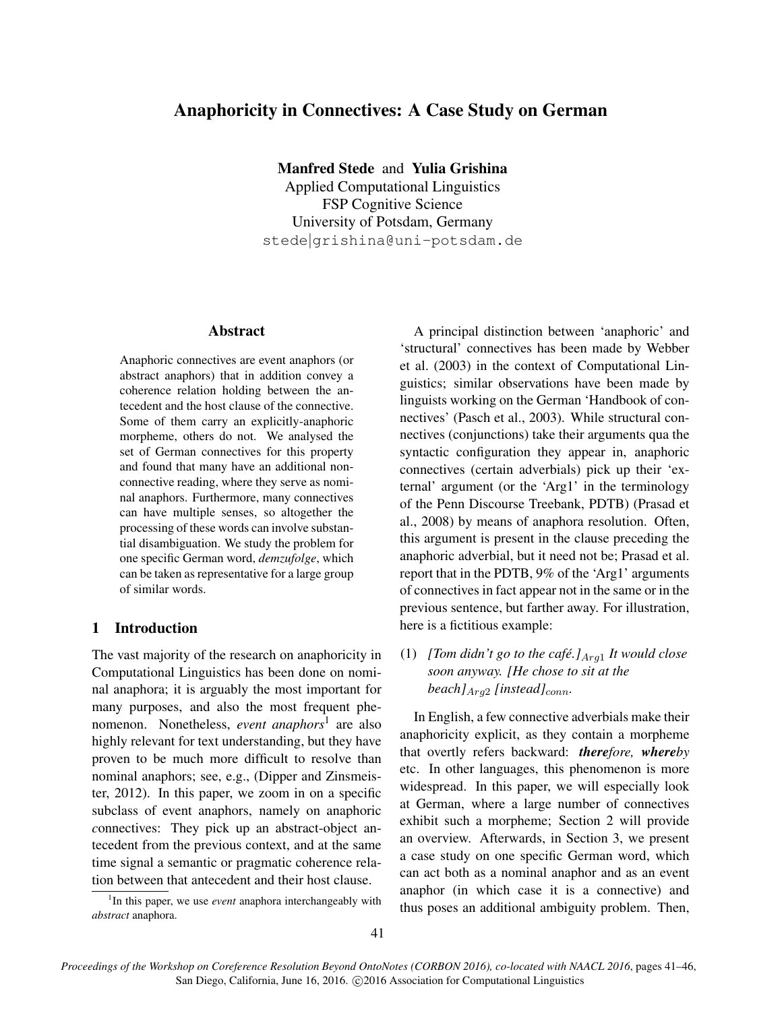# Anaphoricity in Connectives: A Case Study on German

Manfred Stede and Yulia Grishina

Applied Computational Linguistics FSP Cognitive Science University of Potsdam, Germany stede|grishina@uni-potsdam.de

### Abstract

Anaphoric connectives are event anaphors (or abstract anaphors) that in addition convey a coherence relation holding between the antecedent and the host clause of the connective. Some of them carry an explicitly-anaphoric morpheme, others do not. We analysed the set of German connectives for this property and found that many have an additional nonconnective reading, where they serve as nominal anaphors. Furthermore, many connectives can have multiple senses, so altogether the processing of these words can involve substantial disambiguation. We study the problem for one specific German word, *demzufolge*, which can be taken as representative for a large group of similar words.

## 1 Introduction

The vast majority of the research on anaphoricity in Computational Linguistics has been done on nominal anaphora; it is arguably the most important for many purposes, and also the most frequent phenomenon. Nonetheless, *event anaphors*<sup>1</sup> are also highly relevant for text understanding, but they have proven to be much more difficult to resolve than nominal anaphors; see, e.g., (Dipper and Zinsmeister, 2012). In this paper, we zoom in on a specific subclass of event anaphors, namely on anaphoric *c*onnectives: They pick up an abstract-object antecedent from the previous context, and at the same time signal a semantic or pragmatic coherence relation between that antecedent and their host clause.

A principal distinction between 'anaphoric' and 'structural' connectives has been made by Webber et al. (2003) in the context of Computational Linguistics; similar observations have been made by linguists working on the German 'Handbook of connectives' (Pasch et al., 2003). While structural connectives (conjunctions) take their arguments qua the syntactic configuration they appear in, anaphoric connectives (certain adverbials) pick up their 'external' argument (or the 'Arg1' in the terminology of the Penn Discourse Treebank, PDTB) (Prasad et al., 2008) by means of anaphora resolution. Often, this argument is present in the clause preceding the anaphoric adverbial, but it need not be; Prasad et al. report that in the PDTB, 9% of the 'Arg1' arguments of connectives in fact appear not in the same or in the previous sentence, but farther away. For illustration, here is a fictitious example:

(1) *[Tom didn't go to the café.]* $_{Arq1}$  *It would close soon anyway. [He chose to sit at the beach* $]$ <sub>Arq2</sub> [instead]<sub>conn</sub>.

In English, a few connective adverbials make their anaphoricity explicit, as they contain a morpheme that overtly refers backward: *therefore, whereby* etc. In other languages, this phenomenon is more widespread. In this paper, we will especially look at German, where a large number of connectives exhibit such a morpheme; Section 2 will provide an overview. Afterwards, in Section 3, we present a case study on one specific German word, which can act both as a nominal anaphor and as an event anaphor (in which case it is a connective) and thus poses an additional ambiguity problem. Then,

<sup>&</sup>lt;sup>1</sup>In this paper, we use *event* anaphora interchangeably with *abstract* anaphora.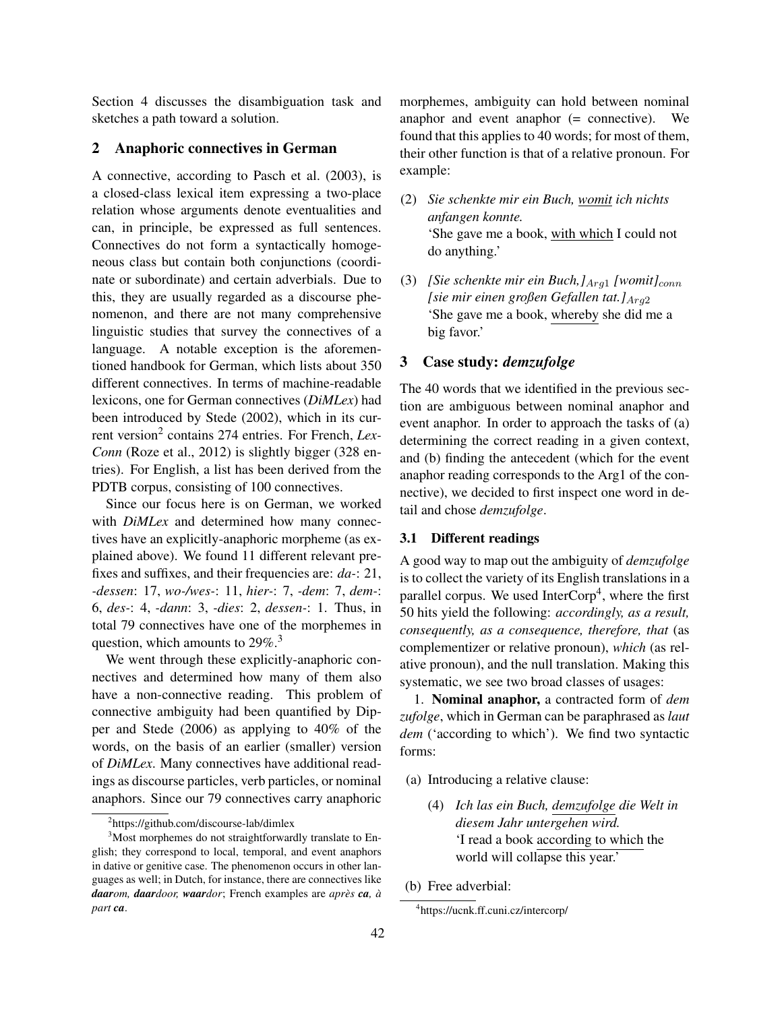Section 4 discusses the disambiguation task and sketches a path toward a solution.

#### 2 Anaphoric connectives in German

A connective, according to Pasch et al. (2003), is a closed-class lexical item expressing a two-place relation whose arguments denote eventualities and can, in principle, be expressed as full sentences. Connectives do not form a syntactically homogeneous class but contain both conjunctions (coordinate or subordinate) and certain adverbials. Due to this, they are usually regarded as a discourse phenomenon, and there are not many comprehensive linguistic studies that survey the connectives of a language. A notable exception is the aforementioned handbook for German, which lists about 350 different connectives. In terms of machine-readable lexicons, one for German connectives (*DiMLex*) had been introduced by Stede (2002), which in its current version<sup>2</sup> contains 274 entries. For French, *Lex*-*Conn* (Roze et al., 2012) is slightly bigger (328 entries). For English, a list has been derived from the PDTB corpus, consisting of 100 connectives.

Since our focus here is on German, we worked with *DiMLex* and determined how many connectives have an explicitly-anaphoric morpheme (as explained above). We found 11 different relevant prefixes and suffixes, and their frequencies are: *da-*: 21, *-dessen*: 17, *wo-/wes-*: 11, *hier-*: 7, *-dem*: 7, *dem-*: 6, *des-*: 4, *-dann*: 3, *-dies*: 2, *dessen-*: 1. Thus, in total 79 connectives have one of the morphemes in question, which amounts to  $29\%$ <sup>3</sup>

We went through these explicitly-anaphoric connectives and determined how many of them also have a non-connective reading. This problem of connective ambiguity had been quantified by Dipper and Stede (2006) as applying to 40% of the words, on the basis of an earlier (smaller) version of *DiMLex*. Many connectives have additional readings as discourse particles, verb particles, or nominal anaphors. Since our 79 connectives carry anaphoric

morphemes, ambiguity can hold between nominal anaphor and event anaphor (= connective). We found that this applies to 40 words; for most of them, their other function is that of a relative pronoun. For example:

- (2) *Sie schenkte mir ein Buch, womit ich nichts anfangen konnte.* 'She gave me a book, with which I could not do anything.'
- (3) *[Sie schenkte mir ein Buch,]* $_{Arq1}$  *[womit]<sub>conn</sub> [sie mir einen großen Gefallen tat.]*Arg<sup>2</sup> 'She gave me a book, whereby she did me a big favor.'

#### 3 Case study: *demzufolge*

The 40 words that we identified in the previous section are ambiguous between nominal anaphor and event anaphor. In order to approach the tasks of (a) determining the correct reading in a given context, and (b) finding the antecedent (which for the event anaphor reading corresponds to the Arg1 of the connective), we decided to first inspect one word in detail and chose *demzufolge*.

#### 3.1 Different readings

A good way to map out the ambiguity of *demzufolge* is to collect the variety of its English translations in a parallel corpus. We used InterCorp<sup>4</sup>, where the first 50 hits yield the following: *accordingly, as a result, consequently, as a consequence, therefore, that* (as complementizer or relative pronoun), *which* (as relative pronoun), and the null translation. Making this systematic, we see two broad classes of usages:

1. Nominal anaphor, a contracted form of *dem zufolge*, which in German can be paraphrased as *laut dem* ('according to which'). We find two syntactic forms:

- (a) Introducing a relative clause:
	- (4) *Ich las ein Buch, demzufolge die Welt in diesem Jahr untergehen wird.* 'I read a book according to which the world will collapse this year.'

<sup>2</sup> https://github.com/discourse-lab/dimlex

<sup>&</sup>lt;sup>3</sup>Most morphemes do not straightforwardly translate to English; they correspond to local, temporal, and event anaphors in dative or genitive case. The phenomenon occurs in other languages as well; in Dutch, for instance, there are connectives like *daarom, daardoor, waardor*; French examples are *après ca, à part ca*.

<sup>(</sup>b) Free adverbial:

<sup>4</sup> https://ucnk.ff.cuni.cz/intercorp/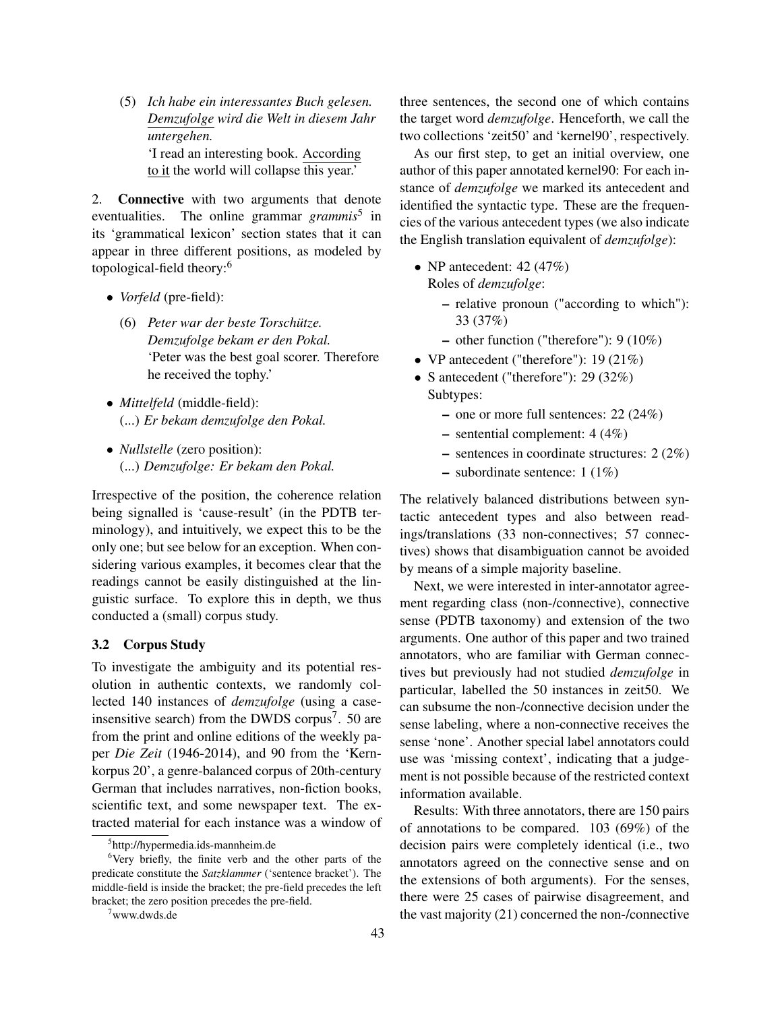(5) *Ich habe ein interessantes Buch gelesen. Demzufolge wird die Welt in diesem Jahr untergehen.* 'I read an interesting book. According to it the world will collapse this year.'

2. Connective with two arguments that denote eventualities. The online grammar *grammis*<sup>5</sup> in its 'grammatical lexicon' section states that it can appear in three different positions, as modeled by topological-field theory:<sup>6</sup>

- *Vorfeld* (pre-field):
	- (6) *Peter war der beste Torschütze. Demzufolge bekam er den Pokal.* 'Peter was the best goal scorer. Therefore he received the tophy.'
- *Mittelfeld* (middle-field): (...) *Er bekam demzufolge den Pokal.*
- *Nullstelle* (zero position): (...) *Demzufolge: Er bekam den Pokal.*

Irrespective of the position, the coherence relation being signalled is 'cause-result' (in the PDTB terminology), and intuitively, we expect this to be the only one; but see below for an exception. When considering various examples, it becomes clear that the readings cannot be easily distinguished at the linguistic surface. To explore this in depth, we thus conducted a (small) corpus study.

#### 3.2 Corpus Study

To investigate the ambiguity and its potential resolution in authentic contexts, we randomly collected 140 instances of *demzufolge* (using a caseinsensitive search) from the DWDS corpus<sup>7</sup>. 50 are from the print and online editions of the weekly paper *Die Zeit* (1946-2014), and 90 from the 'Kernkorpus 20', a genre-balanced corpus of 20th-century German that includes narratives, non-fiction books, scientific text, and some newspaper text. The extracted material for each instance was a window of three sentences, the second one of which contains the target word *demzufolge*. Henceforth, we call the two collections 'zeit50' and 'kernel90', respectively.

As our first step, to get an initial overview, one author of this paper annotated kernel90: For each instance of *demzufolge* we marked its antecedent and identified the syntactic type. These are the frequencies of the various antecedent types (we also indicate the English translation equivalent of *demzufolge*):

- NP antecedent:  $42 (47%)$ Roles of *demzufolge*:
	- relative pronoun ("according to which"): 33 (37%)
	- other function ("therefore"): 9 (10%)
- VP antecedent ("therefore"): 19 (21%)
- S antecedent ("therefore"): 29 (32%) Subtypes:
	- one or more full sentences: 22 (24%)
	- sentential complement: 4 (4%)
	- sentences in coordinate structures: 2 (2%)
	- subordinate sentence: 1 (1%)

The relatively balanced distributions between syntactic antecedent types and also between readings/translations (33 non-connectives; 57 connectives) shows that disambiguation cannot be avoided by means of a simple majority baseline.

Next, we were interested in inter-annotator agreement regarding class (non-/connective), connective sense (PDTB taxonomy) and extension of the two arguments. One author of this paper and two trained annotators, who are familiar with German connectives but previously had not studied *demzufolge* in particular, labelled the 50 instances in zeit50. We can subsume the non-/connective decision under the sense labeling, where a non-connective receives the sense 'none'. Another special label annotators could use was 'missing context', indicating that a judgement is not possible because of the restricted context information available.

Results: With three annotators, there are 150 pairs of annotations to be compared. 103 (69%) of the decision pairs were completely identical (i.e., two annotators agreed on the connective sense and on the extensions of both arguments). For the senses, there were 25 cases of pairwise disagreement, and the vast majority (21) concerned the non-/connective

<sup>5</sup> http://hypermedia.ids-mannheim.de

<sup>&</sup>lt;sup>6</sup>Very briefly, the finite verb and the other parts of the predicate constitute the *Satzklammer* ('sentence bracket'). The middle-field is inside the bracket; the pre-field precedes the left bracket; the zero position precedes the pre-field.

<sup>7</sup>www.dwds.de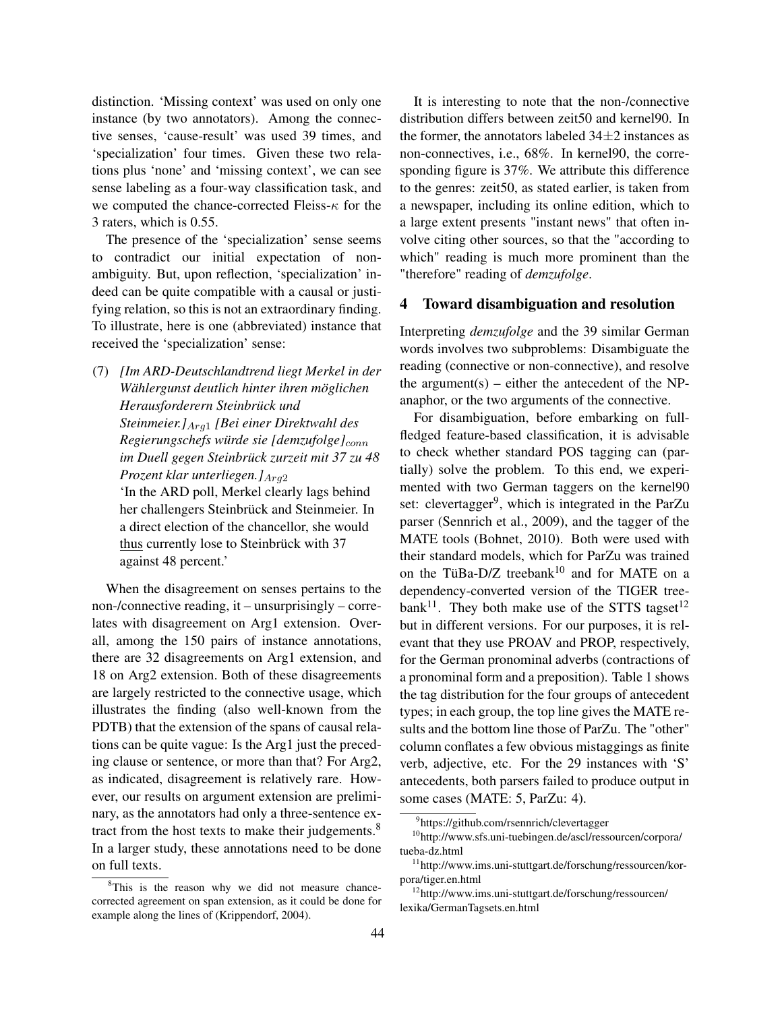distinction. 'Missing context' was used on only one instance (by two annotators). Among the connective senses, 'cause-result' was used 39 times, and 'specialization' four times. Given these two relations plus 'none' and 'missing context', we can see sense labeling as a four-way classification task, and we computed the chance-corrected Fleiss- $\kappa$  for the 3 raters, which is 0.55.

The presence of the 'specialization' sense seems to contradict our initial expectation of nonambiguity. But, upon reflection, 'specialization' indeed can be quite compatible with a causal or justifying relation, so this is not an extraordinary finding. To illustrate, here is one (abbreviated) instance that received the 'specialization' sense:

(7) *[Im ARD-Deutschlandtrend liegt Merkel in der Wählergunst deutlich hinter ihren möglichen Herausforderern Steinbrück und Steinmeier.]*Arg<sup>1</sup> *[Bei einer Direktwahl des Regierungschefs würde sie [demzufolge]*conn *im Duell gegen Steinbrück zurzeit mit 37 zu 48 Prozent klar unterliegen.*]<sub>Arg2</sub> 'In the ARD poll, Merkel clearly lags behind her challengers Steinbrück and Steinmeier. In a direct election of the chancellor, she would thus currently lose to Steinbrück with 37 against 48 percent.'

When the disagreement on senses pertains to the non-/connective reading, it – unsurprisingly – correlates with disagreement on Arg1 extension. Overall, among the 150 pairs of instance annotations, there are 32 disagreements on Arg1 extension, and 18 on Arg2 extension. Both of these disagreements are largely restricted to the connective usage, which illustrates the finding (also well-known from the PDTB) that the extension of the spans of causal relations can be quite vague: Is the Arg1 just the preceding clause or sentence, or more than that? For Arg2, as indicated, disagreement is relatively rare. However, our results on argument extension are preliminary, as the annotators had only a three-sentence extract from the host texts to make their judgements.<sup>8</sup> In a larger study, these annotations need to be done on full texts.

It is interesting to note that the non-/connective distribution differs between zeit50 and kernel90. In the former, the annotators labeled  $34\pm2$  instances as non-connectives, i.e., 68%. In kernel90, the corresponding figure is 37%. We attribute this difference to the genres: zeit50, as stated earlier, is taken from a newspaper, including its online edition, which to a large extent presents "instant news" that often involve citing other sources, so that the "according to which" reading is much more prominent than the "therefore" reading of *demzufolge*.

### 4 Toward disambiguation and resolution

Interpreting *demzufolge* and the 39 similar German words involves two subproblems: Disambiguate the reading (connective or non-connective), and resolve the argument(s) – either the antecedent of the NPanaphor, or the two arguments of the connective.

For disambiguation, before embarking on fullfledged feature-based classification, it is advisable to check whether standard POS tagging can (partially) solve the problem. To this end, we experimented with two German taggers on the kernel90 set: clevertagger<sup>9</sup>, which is integrated in the ParZu parser (Sennrich et al., 2009), and the tagger of the MATE tools (Bohnet, 2010). Both were used with their standard models, which for ParZu was trained on the TüBa-D/Z treebank<sup>10</sup> and for MATE on a dependency-converted version of the TIGER tree $bank<sup>11</sup>$ . They both make use of the STTS tagset<sup>12</sup> but in different versions. For our purposes, it is relevant that they use PROAV and PROP, respectively, for the German pronominal adverbs (contractions of a pronominal form and a preposition). Table 1 shows the tag distribution for the four groups of antecedent types; in each group, the top line gives the MATE results and the bottom line those of ParZu. The "other" column conflates a few obvious mistaggings as finite verb, adjective, etc. For the 29 instances with 'S' antecedents, both parsers failed to produce output in some cases (MATE: 5, ParZu: 4).

<sup>&</sup>lt;sup>8</sup>This is the reason why we did not measure chancecorrected agreement on span extension, as it could be done for example along the lines of (Krippendorf, 2004).

<sup>9</sup> https://github.com/rsennrich/clevertagger

<sup>10</sup>http://www.sfs.uni-tuebingen.de/ascl/ressourcen/corpora/ tueba-dz.html

<sup>11</sup>http://www.ims.uni-stuttgart.de/forschung/ressourcen/korpora/tiger.en.html

<sup>12</sup>http://www.ims.uni-stuttgart.de/forschung/ressourcen/ lexika/GermanTagsets.en.html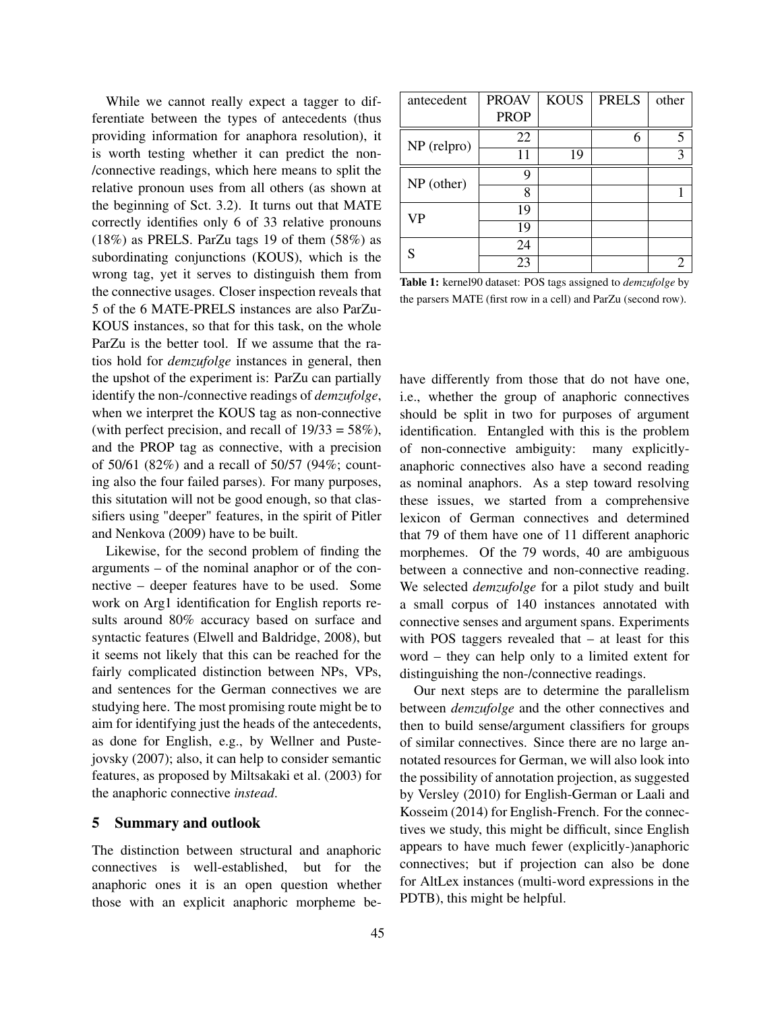While we cannot really expect a tagger to differentiate between the types of antecedents (thus providing information for anaphora resolution), it is worth testing whether it can predict the non- /connective readings, which here means to split the relative pronoun uses from all others (as shown at the beginning of Sct. 3.2). It turns out that MATE correctly identifies only 6 of 33 relative pronouns (18%) as PRELS. ParZu tags 19 of them (58%) as subordinating conjunctions (KOUS), which is the wrong tag, yet it serves to distinguish them from the connective usages. Closer inspection reveals that 5 of the 6 MATE-PRELS instances are also ParZu-KOUS instances, so that for this task, on the whole ParZu is the better tool. If we assume that the ratios hold for *demzufolge* instances in general, then the upshot of the experiment is: ParZu can partially identify the non-/connective readings of *demzufolge*, when we interpret the KOUS tag as non-connective (with perfect precision, and recall of  $19/33 = 58\%$ ), and the PROP tag as connective, with a precision of 50/61 (82%) and a recall of 50/57 (94%; counting also the four failed parses). For many purposes, this situtation will not be good enough, so that classifiers using "deeper" features, in the spirit of Pitler and Nenkova (2009) have to be built.

Likewise, for the second problem of finding the arguments – of the nominal anaphor or of the connective – deeper features have to be used. Some work on Arg1 identification for English reports results around 80% accuracy based on surface and syntactic features (Elwell and Baldridge, 2008), but it seems not likely that this can be reached for the fairly complicated distinction between NPs, VPs, and sentences for the German connectives we are studying here. The most promising route might be to aim for identifying just the heads of the antecedents, as done for English, e.g., by Wellner and Pustejovsky (2007); also, it can help to consider semantic features, as proposed by Miltsakaki et al. (2003) for the anaphoric connective *instead*.

#### 5 Summary and outlook

The distinction between structural and anaphoric connectives is well-established, but for the anaphoric ones it is an open question whether those with an explicit anaphoric morpheme be-

| antecedent    | <b>PROAV</b> | <b>KOUS</b> | <b>PRELS</b> | other                 |
|---------------|--------------|-------------|--------------|-----------------------|
|               | <b>PROP</b>  |             |              |                       |
| $NP$ (relpro) | 22           |             | 6            | 5                     |
|               | 11           | 19          |              | 3                     |
| $NP$ (other)  | q            |             |              |                       |
|               | 8            |             |              |                       |
| VP            | 19           |             |              |                       |
|               | 19           |             |              |                       |
|               | 24           |             |              |                       |
|               | 23           |             |              | $\mathcal{D}_{\cdot}$ |

Table 1: kernel90 dataset: POS tags assigned to *demzufolge* by the parsers MATE (first row in a cell) and ParZu (second row).

have differently from those that do not have one, i.e., whether the group of anaphoric connectives should be split in two for purposes of argument identification. Entangled with this is the problem of non-connective ambiguity: many explicitlyanaphoric connectives also have a second reading as nominal anaphors. As a step toward resolving these issues, we started from a comprehensive lexicon of German connectives and determined that 79 of them have one of 11 different anaphoric morphemes. Of the 79 words, 40 are ambiguous between a connective and non-connective reading. We selected *demzufolge* for a pilot study and built a small corpus of 140 instances annotated with connective senses and argument spans. Experiments with POS taggers revealed that – at least for this word – they can help only to a limited extent for distinguishing the non-/connective readings.

Our next steps are to determine the parallelism between *demzufolge* and the other connectives and then to build sense/argument classifiers for groups of similar connectives. Since there are no large annotated resources for German, we will also look into the possibility of annotation projection, as suggested by Versley (2010) for English-German or Laali and Kosseim (2014) for English-French. For the connectives we study, this might be difficult, since English appears to have much fewer (explicitly-)anaphoric connectives; but if projection can also be done for AltLex instances (multi-word expressions in the PDTB), this might be helpful.